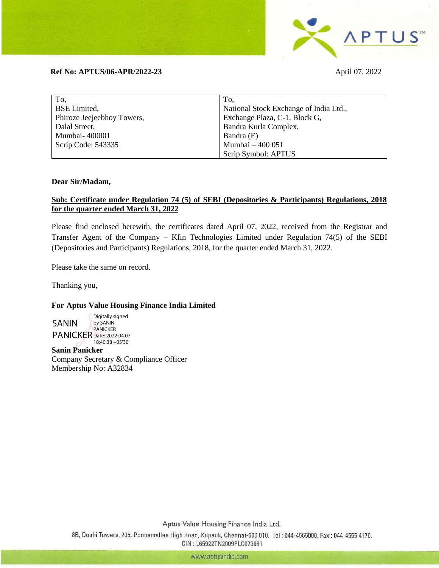

## **Ref No: APTUS/06-APR/2022-23** April 07, 2022

| To,                        | To,                                    |
|----------------------------|----------------------------------------|
| <b>BSE</b> Limited,        | National Stock Exchange of India Ltd., |
| Phiroze Jeejeebhoy Towers, | Exchange Plaza, C-1, Block G,          |
| Dalal Street,              | Bandra Kurla Complex,                  |
| Mumbai-400001              | Bandra (E)                             |
| Scrip Code: 543335         | Mumbai - 400 051                       |
|                            | Scrip Symbol: APTUS                    |

## **Dear Sir/Madam,**

## **Sub: Certificate under Regulation 74 (5) of SEBI (Depositories & Participants) Regulations, 2018 for the quarter ended March 31, 2022**

Please find enclosed herewith, the certificates dated April 07, 2022, received from the Registrar and Transfer Agent of the Company – Kfin Technologies Limited under Regulation 74(5) of the SEBI (Depositories and Participants) Regulations, 2018, for the quarter ended March 31, 2022.

Please take the same on record.

Thanking you,

## **For Aptus Value Housing Finance India Limited**

SANIN PANICKER Date: 2022.04.07 Digitally signed by SANIN PANICKER 18:40:38 +05'30'

**Sanin Panicker** Company Secretary & Compliance Officer Membership No: A32834

Aptus Value Housing Finance India Ltd.

8B, Doshi Towers, 205, Poonamallee High Road, Kilpauk, Chennai-600 010. Tel: 044-4565000, Fax: 044-4555 4170. CIN: L65922TN2009PLC073881

www.aptusindia.com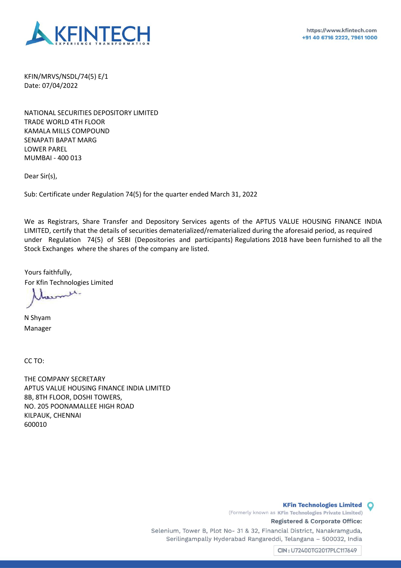

 KFIN/MRVS/NSDL/74(5) E/1 Date: 07/04/2022

NATIONAL SECURITIES DEPOSITORY LIMITED TRADE WORLD 4TH FLOOR KAMALA MILLS COMPOUND SENAPATI BAPAT MARG LOWER PAREL MUMBAI - 400 013

Dear Sir(s),

Sub: Certificate under Regulation 74(5) for the quarter ended March 31, 2022

We as Registrars, Share Transfer and Depository Services agents of the APTUS VALUE HOUSING FINANCE INDIA LIMITED, certify that the details of securities dematerialized/rematerialized during the aforesaid period, as required under Regulation 74(5) of SEBI (Depositories and participants) Regulations 2018 have been furnished to all the Stock Exchanges where the shares of the company are listed.

Yours faithfully, For Kfin Technologies Limited

omit.

N Shyam Manager

CC TO:

THE COMPANY SECRETARY APTUS VALUE HOUSING FINANCE INDIA LIMITED 8B, 8TH FLOOR, DOSHI TOWERS, NO. 205 POONAMALLEE HIGH ROAD KILPAUK, CHENNAI 600010

> (Formerly known as KFin Technologies Private Limited) Registered & Corporate Office: Selenium, Tower B, Plot No- 31 & 32, Financial District, Nanakramguda, Serilingampally Hyderabad Rangareddi, Telangana - 500032, India

> > CIN: U72400TG2017PLC117649

**KFin Technologies Limited O**